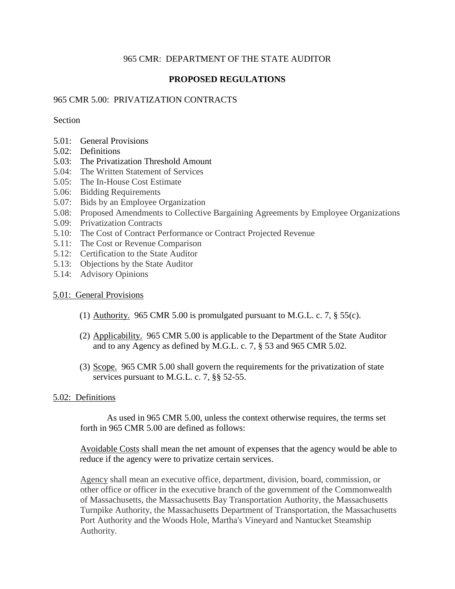# 965 CMR: DEPARTMENT OF THE STATE AUDITOR

# **PROPOSED REGULATIONS**

## 965 CMR 5.00: PRIVATIZATION CONTRACTS

### Section

- 5.01: General Provisions
- 5.02: Definitions
- 5.03: The Privatization Threshold Amount
- 5.04: The Written Statement of Services
- 5.05: The In-House Cost Estimate
- 5.06: Bidding Requirements
- 5.07: Bids by an Employee Organization
- 5.08: Proposed Amendments to Collective Bargaining Agreements by Employee Organizations
- 5.09: Privatization Contracts
- 5.10: The Cost of Contract Performance or Contract Projected Revenue
- 5.11: The Cost or Revenue Comparison
- 5.12: Certification to the State Auditor
- 5.13: Objections by the State Auditor
- 5.14: Advisory Opinions

## 5.01: General Provisions

- (1) Authority. 965 CMR 5.00 is promulgated pursuant to M.G.L. c. 7,  $\S$  55(c).
- (2) Applicability. 965 CMR 5.00 is applicable to the Department of the State Auditor and to any Agency as defined by M.G.L. c. 7, § 53 and 965 CMR 5.02.
- (3) Scope. 965 CMR 5.00 shall govern the requirements for the privatization of state services pursuant to M.G.L. c. 7, §§ 52-55.

## 5.02: Definitions

As used in 965 CMR 5.00, unless the context otherwise requires, the terms set forth in 965 CMR 5.00 are defined as follows:

Avoidable Costs shall mean the net amount of expenses that the agency would be able to reduce if the agency were to privatize certain services.

Agency shall mean an executive office, department, division, board, commission, or other office or officer in the executive branch of the government of the Commonwealth of Massachusetts, the Massachusetts Bay Transportation Authority, the Massachusetts Turnpike Authority, the Massachusetts Department of Transportation, the Massachusetts Port Authority and the Woods Hole, Martha's Vineyard and Nantucket Steamship Authority.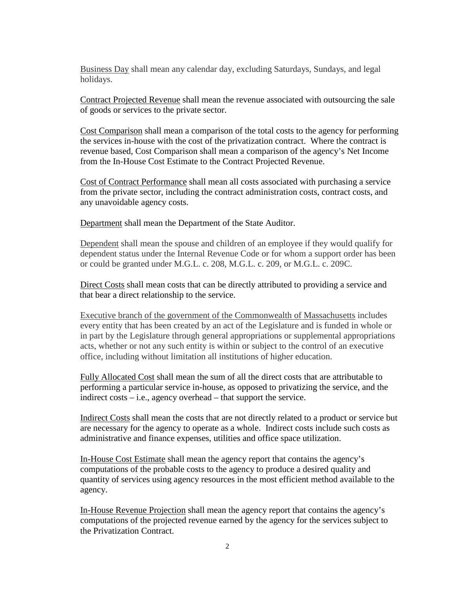Business Day shall mean any calendar day, excluding Saturdays, Sundays, and legal holidays.

Contract Projected Revenue shall mean the revenue associated with outsourcing the sale of goods or services to the private sector.

Cost Comparison shall mean a comparison of the total costs to the agency for performing the services in-house with the cost of the privatization contract. Where the contract is revenue based, Cost Comparison shall mean a comparison of the agency's Net Income from the In-House Cost Estimate to the Contract Projected Revenue.

Cost of Contract Performance shall mean all costs associated with purchasing a service from the private sector, including the contract administration costs, contract costs, and any unavoidable agency costs.

Department shall mean the Department of the State Auditor.

Dependent shall mean the spouse and children of an employee if they would qualify for dependent status under the Internal Revenue Code or for whom a support order has been or could be granted under M.G.L. c. 208, M.G.L. c. 209, or M.G.L. c. 209C.

Direct Costs shall mean costs that can be directly attributed to providing a service and that bear a direct relationship to the service.

Executive branch of the government of the Commonwealth of Massachusetts includes every entity that has been created by an act of the Legislature and is funded in whole or in part by the Legislature through general appropriations or supplemental appropriations acts, whether or not any such entity is within or subject to the control of an executive office, including without limitation all institutions of higher education.

Fully Allocated Cost shall mean the sum of all the direct costs that are attributable to performing a particular service in-house, as opposed to privatizing the service, and the indirect costs – i.e., agency overhead – that support the service.

Indirect Costs shall mean the costs that are not directly related to a product or service but are necessary for the agency to operate as a whole. Indirect costs include such costs as administrative and finance expenses, utilities and office space utilization.

In-House Cost Estimate shall mean the agency report that contains the agency's computations of the probable costs to the agency to produce a desired quality and quantity of services using agency resources in the most efficient method available to the agency.

In-House Revenue Projection shall mean the agency report that contains the agency's computations of the projected revenue earned by the agency for the services subject to the Privatization Contract.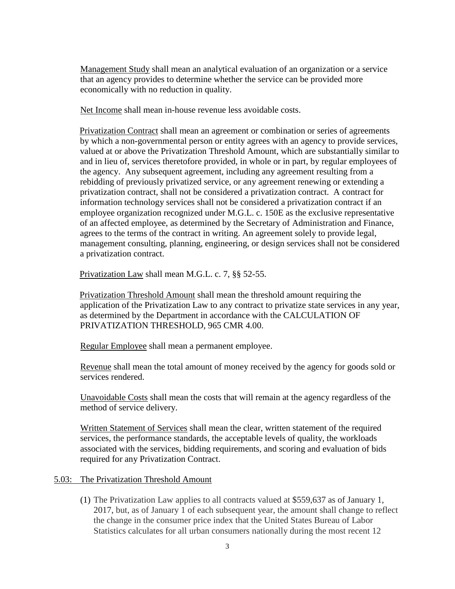Management Study shall mean an analytical evaluation of an organization or a service that an agency provides to determine whether the service can be provided more economically with no reduction in quality.

Net Income shall mean in-house revenue less avoidable costs.

Privatization Contract shall mean an agreement or combination or series of agreements by which a non-governmental person or entity agrees with an agency to provide services, valued at or above the Privatization Threshold Amount, which are substantially similar to and in lieu of, services theretofore provided, in whole or in part, by regular employees of the agency. Any subsequent agreement, including any agreement resulting from a rebidding of previously privatized service, or any agreement renewing or extending a privatization contract, shall not be considered a privatization contract. A contract for information technology services shall not be considered a privatization contract if an employee organization recognized under M.G.L. c. 150E as the exclusive representative of an affected employee, as determined by the Secretary of Administration and Finance, agrees to the terms of the contract in writing. An agreement solely to provide legal, management consulting, planning, engineering, or design services shall not be considered a privatization contract.

Privatization Law shall mean M.G.L. c. 7, §§ 52-55.

Privatization Threshold Amount shall mean the threshold amount requiring the application of the Privatization Law to any contract to privatize state services in any year, as determined by the Department in accordance with the CALCULATION OF PRIVATIZATION THRESHOLD, 965 CMR 4.00.

Regular Employee shall mean a permanent employee.

Revenue shall mean the total amount of money received by the agency for goods sold or services rendered.

Unavoidable Costs shall mean the costs that will remain at the agency regardless of the method of service delivery.

Written Statement of Services shall mean the clear, written statement of the required services, the performance standards, the acceptable levels of quality, the workloads associated with the services, bidding requirements, and scoring and evaluation of bids required for any Privatization Contract.

## 5.03: The Privatization Threshold Amount

(1) The Privatization Law applies to all contracts valued at \$559,637 as of January 1, 2017, but, as of January 1 of each subsequent year, the amount shall change to reflect the change in the consumer price index that the United States Bureau of Labor Statistics calculates for all urban consumers nationally during the most recent 12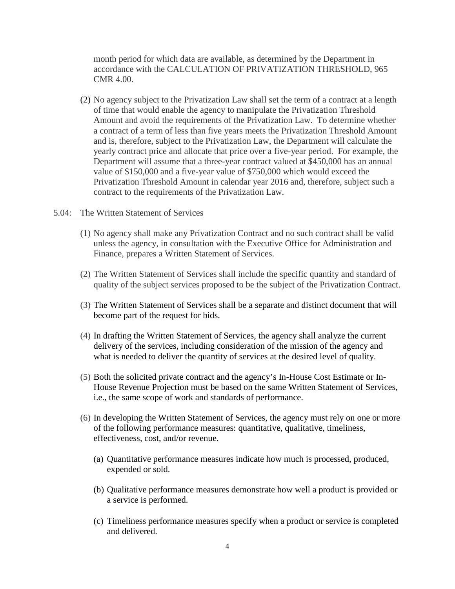month period for which data are available, as determined by the Department in accordance with the CALCULATION OF PRIVATIZATION THRESHOLD, 965 CMR 4.00.

(2) No agency subject to the Privatization Law shall set the term of a contract at a length of time that would enable the agency to manipulate the Privatization Threshold Amount and avoid the requirements of the Privatization Law. To determine whether a contract of a term of less than five years meets the Privatization Threshold Amount and is, therefore, subject to the Privatization Law, the Department will calculate the yearly contract price and allocate that price over a five-year period. For example, the Department will assume that a three-year contract valued at \$450,000 has an annual value of \$150,000 and a five-year value of \$750,000 which would exceed the Privatization Threshold Amount in calendar year 2016 and, therefore, subject such a contract to the requirements of the Privatization Law.

#### 5.04: The Written Statement of Services

- (1) No agency shall make any Privatization Contract and no such contract shall be valid unless the agency, in consultation with the Executive Office for Administration and Finance, prepares a Written Statement of Services.
- (2) The Written Statement of Services shall include the specific quantity and standard of quality of the subject services proposed to be the subject of the Privatization Contract.
- (3) The Written Statement of Services shall be a separate and distinct document that will become part of the request for bids.
- (4) In drafting the Written Statement of Services, the agency shall analyze the current delivery of the services, including consideration of the mission of the agency and what is needed to deliver the quantity of services at the desired level of quality.
- (5) Both the solicited private contract and the agency's In-House Cost Estimate or In-House Revenue Projection must be based on the same Written Statement of Services, i.e., the same scope of work and standards of performance.
- (6) In developing the Written Statement of Services, the agency must rely on one or more of the following performance measures: quantitative, qualitative, timeliness, effectiveness, cost, and/or revenue.
	- (a) Quantitative performance measures indicate how much is processed, produced, expended or sold.
	- (b) Qualitative performance measures demonstrate how well a product is provided or a service is performed.
	- (c) Timeliness performance measures specify when a product or service is completed and delivered.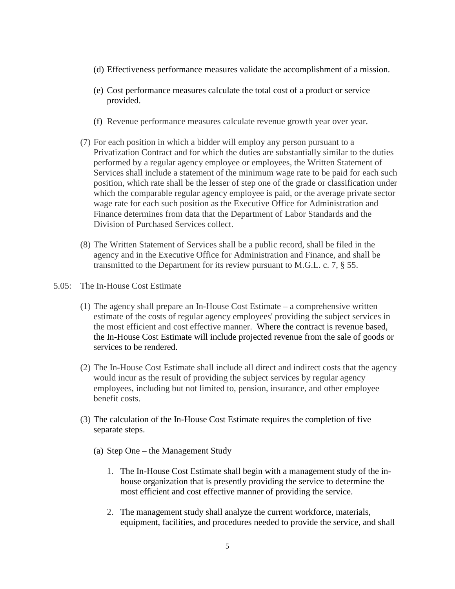- (d) Effectiveness performance measures validate the accomplishment of a mission.
- (e) Cost performance measures calculate the total cost of a product or service provided.
- (f) Revenue performance measures calculate revenue growth year over year.
- (7) For each position in which a bidder will employ any person pursuant to a Privatization Contract and for which the duties are substantially similar to the duties performed by a regular agency employee or employees, the Written Statement of Services shall include a statement of the minimum wage rate to be paid for each such position, which rate shall be the lesser of step one of the grade or classification under which the comparable regular agency employee is paid, or the average private sector wage rate for each such position as the Executive Office for Administration and Finance determines from data that the Department of Labor Standards and the Division of Purchased Services collect.
- (8) The Written Statement of Services shall be a public record, shall be filed in the agency and in the Executive Office for Administration and Finance, and shall be transmitted to the Department for its review pursuant to M.G.L. c. 7, § 55.

### 5.05: The In-House Cost Estimate

- (1) The agency shall prepare an In-House Cost Estimate a comprehensive written estimate of the costs of regular agency employees' providing the subject services in the most efficient and cost effective manner. Where the contract is revenue based, the In-House Cost Estimate will include projected revenue from the sale of goods or services to be rendered.
- (2) The In-House Cost Estimate shall include all direct and indirect costs that the agency would incur as the result of providing the subject services by regular agency employees, including but not limited to, pension, insurance, and other employee benefit costs.
- (3) The calculation of the In-House Cost Estimate requires the completion of five separate steps.
	- (a) Step One the Management Study
		- 1. The In-House Cost Estimate shall begin with a management study of the inhouse organization that is presently providing the service to determine the most efficient and cost effective manner of providing the service.
		- 2. The management study shall analyze the current workforce, materials, equipment, facilities, and procedures needed to provide the service, and shall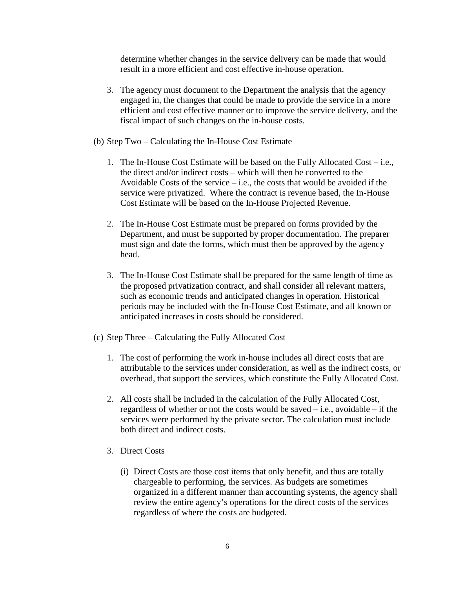determine whether changes in the service delivery can be made that would result in a more efficient and cost effective in-house operation.

- 3. The agency must document to the Department the analysis that the agency engaged in, the changes that could be made to provide the service in a more efficient and cost effective manner or to improve the service delivery, and the fiscal impact of such changes on the in-house costs.
- (b) Step Two Calculating the In-House Cost Estimate
	- 1. The In-House Cost Estimate will be based on the Fully Allocated Cost i.e., the direct and/or indirect costs – which will then be converted to the Avoidable Costs of the service  $-i.e.,$  the costs that would be avoided if the service were privatized. Where the contract is revenue based, the In-House Cost Estimate will be based on the In-House Projected Revenue.
	- 2. The In-House Cost Estimate must be prepared on forms provided by the Department, and must be supported by proper documentation. The preparer must sign and date the forms, which must then be approved by the agency head.
	- 3. The In-House Cost Estimate shall be prepared for the same length of time as the proposed privatization contract, and shall consider all relevant matters, such as economic trends and anticipated changes in operation. Historical periods may be included with the In-House Cost Estimate, and all known or anticipated increases in costs should be considered.
- (c) Step Three Calculating the Fully Allocated Cost
	- 1. The cost of performing the work in-house includes all direct costs that are attributable to the services under consideration, as well as the indirect costs, or overhead, that support the services, which constitute the Fully Allocated Cost.
	- 2. All costs shall be included in the calculation of the Fully Allocated Cost, regardless of whether or not the costs would be saved  $-$  i.e., avoidable  $-$  if the services were performed by the private sector. The calculation must include both direct and indirect costs.
	- 3. Direct Costs
		- (i) Direct Costs are those cost items that only benefit, and thus are totally chargeable to performing, the services. As budgets are sometimes organized in a different manner than accounting systems, the agency shall review the entire agency's operations for the direct costs of the services regardless of where the costs are budgeted.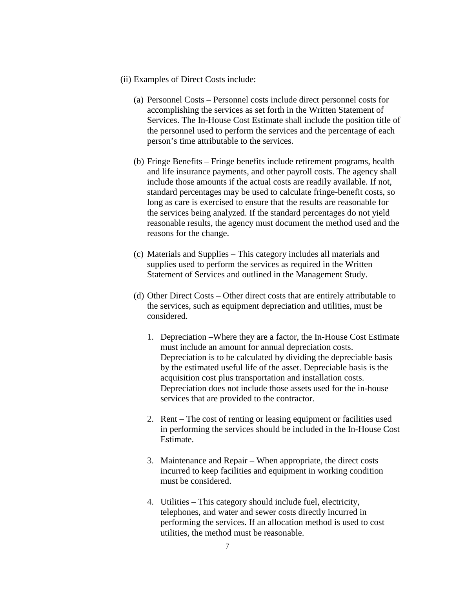- (ii) Examples of Direct Costs include:
	- (a) Personnel Costs Personnel costs include direct personnel costs for accomplishing the services as set forth in the Written Statement of Services. The In-House Cost Estimate shall include the position title of the personnel used to perform the services and the percentage of each person's time attributable to the services.
	- (b) Fringe Benefits Fringe benefits include retirement programs, health and life insurance payments, and other payroll costs. The agency shall include those amounts if the actual costs are readily available. If not, standard percentages may be used to calculate fringe-benefit costs, so long as care is exercised to ensure that the results are reasonable for the services being analyzed. If the standard percentages do not yield reasonable results, the agency must document the method used and the reasons for the change.
	- (c) Materials and Supplies This category includes all materials and supplies used to perform the services as required in the Written Statement of Services and outlined in the Management Study.
	- (d) Other Direct Costs Other direct costs that are entirely attributable to the services, such as equipment depreciation and utilities, must be considered.
		- 1. Depreciation –Where they are a factor, the In-House Cost Estimate must include an amount for annual depreciation costs. Depreciation is to be calculated by dividing the depreciable basis by the estimated useful life of the asset. Depreciable basis is the acquisition cost plus transportation and installation costs. Depreciation does not include those assets used for the in-house services that are provided to the contractor.
		- 2. Rent The cost of renting or leasing equipment or facilities used in performing the services should be included in the In-House Cost Estimate.
		- 3. Maintenance and Repair When appropriate, the direct costs incurred to keep facilities and equipment in working condition must be considered.
		- 4. Utilities This category should include fuel, electricity, telephones, and water and sewer costs directly incurred in performing the services. If an allocation method is used to cost utilities, the method must be reasonable.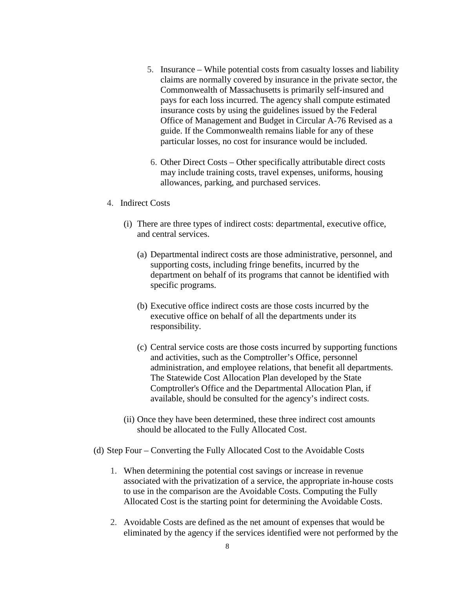- 5. Insurance While potential costs from casualty losses and liability claims are normally covered by insurance in the private sector, the Commonwealth of Massachusetts is primarily self-insured and pays for each loss incurred. The agency shall compute estimated insurance costs by using the guidelines issued by the Federal Office of Management and Budget in Circular A-76 Revised as a guide. If the Commonwealth remains liable for any of these particular losses, no cost for insurance would be included.
- 6. Other Direct Costs Other specifically attributable direct costs may include training costs, travel expenses, uniforms, housing allowances, parking, and purchased services.
- 4. Indirect Costs
	- (i) There are three types of indirect costs: departmental, executive office, and central services.
		- (a) Departmental indirect costs are those administrative, personnel, and supporting costs, including fringe benefits, incurred by the department on behalf of its programs that cannot be identified with specific programs.
		- (b) Executive office indirect costs are those costs incurred by the executive office on behalf of all the departments under its responsibility.
		- (c) Central service costs are those costs incurred by supporting functions and activities, such as the Comptroller's Office, personnel administration, and employee relations, that benefit all departments. The Statewide Cost Allocation Plan developed by the State Comptroller's Office and the Departmental Allocation Plan, if available, should be consulted for the agency's indirect costs.
	- (ii) Once they have been determined, these three indirect cost amounts should be allocated to the Fully Allocated Cost.
- (d) Step Four Converting the Fully Allocated Cost to the Avoidable Costs
	- 1. When determining the potential cost savings or increase in revenue associated with the privatization of a service, the appropriate in-house costs to use in the comparison are the Avoidable Costs. Computing the Fully Allocated Cost is the starting point for determining the Avoidable Costs.
	- 2. Avoidable Costs are defined as the net amount of expenses that would be eliminated by the agency if the services identified were not performed by the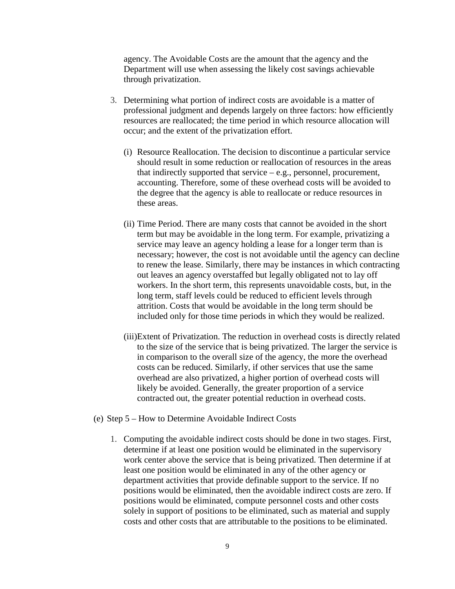agency. The Avoidable Costs are the amount that the agency and the Department will use when assessing the likely cost savings achievable through privatization.

- 3. Determining what portion of indirect costs are avoidable is a matter of professional judgment and depends largely on three factors: how efficiently resources are reallocated; the time period in which resource allocation will occur; and the extent of the privatization effort.
	- (i) Resource Reallocation. The decision to discontinue a particular service should result in some reduction or reallocation of resources in the areas that indirectly supported that service – e.g., personnel, procurement, accounting. Therefore, some of these overhead costs will be avoided to the degree that the agency is able to reallocate or reduce resources in these areas.
	- (ii) Time Period. There are many costs that cannot be avoided in the short term but may be avoidable in the long term. For example, privatizing a service may leave an agency holding a lease for a longer term than is necessary; however, the cost is not avoidable until the agency can decline to renew the lease. Similarly, there may be instances in which contracting out leaves an agency overstaffed but legally obligated not to lay off workers. In the short term, this represents unavoidable costs, but, in the long term, staff levels could be reduced to efficient levels through attrition. Costs that would be avoidable in the long term should be included only for those time periods in which they would be realized.
	- (iii)Extent of Privatization. The reduction in overhead costs is directly related to the size of the service that is being privatized. The larger the service is in comparison to the overall size of the agency, the more the overhead costs can be reduced. Similarly, if other services that use the same overhead are also privatized, a higher portion of overhead costs will likely be avoided. Generally, the greater proportion of a service contracted out, the greater potential reduction in overhead costs.
- (e) Step 5 How to Determine Avoidable Indirect Costs
	- 1. Computing the avoidable indirect costs should be done in two stages. First, determine if at least one position would be eliminated in the supervisory work center above the service that is being privatized. Then determine if at least one position would be eliminated in any of the other agency or department activities that provide definable support to the service. If no positions would be eliminated, then the avoidable indirect costs are zero. If positions would be eliminated, compute personnel costs and other costs solely in support of positions to be eliminated, such as material and supply costs and other costs that are attributable to the positions to be eliminated.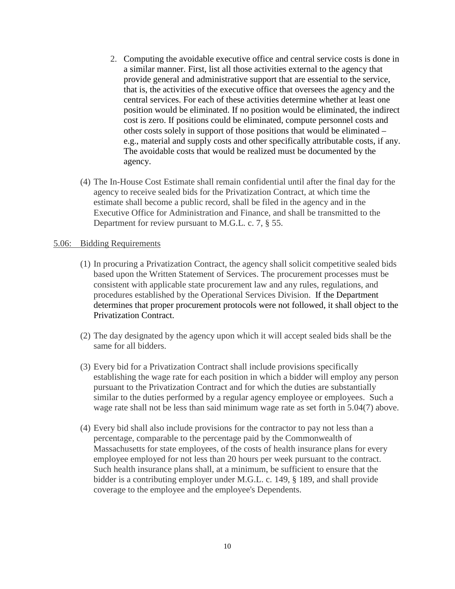- 2. Computing the avoidable executive office and central service costs is done in a similar manner. First, list all those activities external to the agency that provide general and administrative support that are essential to the service, that is, the activities of the executive office that oversees the agency and the central services. For each of these activities determine whether at least one position would be eliminated. If no position would be eliminated, the indirect cost is zero. If positions could be eliminated, compute personnel costs and other costs solely in support of those positions that would be eliminated – e.g., material and supply costs and other specifically attributable costs, if any. The avoidable costs that would be realized must be documented by the agency.
- (4) The In-House Cost Estimate shall remain confidential until after the final day for the agency to receive sealed bids for the Privatization Contract, at which time the estimate shall become a public record, shall be filed in the agency and in the Executive Office for Administration and Finance, and shall be transmitted to the Department for review pursuant to M.G.L. c. 7, § 55.

### 5.06: Bidding Requirements

- (1) In procuring a Privatization Contract, the agency shall solicit competitive sealed bids based upon the Written Statement of Services. The procurement processes must be consistent with applicable state procurement law and any rules, regulations, and procedures established by the Operational Services Division. If the Department determines that proper procurement protocols were not followed, it shall object to the Privatization Contract.
- (2) The day designated by the agency upon which it will accept sealed bids shall be the same for all bidders.
- (3) Every bid for a Privatization Contract shall include provisions specifically establishing the wage rate for each position in which a bidder will employ any person pursuant to the Privatization Contract and for which the duties are substantially similar to the duties performed by a regular agency employee or employees. Such a wage rate shall not be less than said minimum wage rate as set forth in 5.04(7) above.
- (4) Every bid shall also include provisions for the contractor to pay not less than a percentage, comparable to the percentage paid by the Commonwealth of Massachusetts for state employees, of the costs of health insurance plans for every employee employed for not less than 20 hours per week pursuant to the contract. Such health insurance plans shall, at a minimum, be sufficient to ensure that the bidder is a contributing employer under M.G.L. c. 149, § 189, and shall provide coverage to the employee and the employee's Dependents.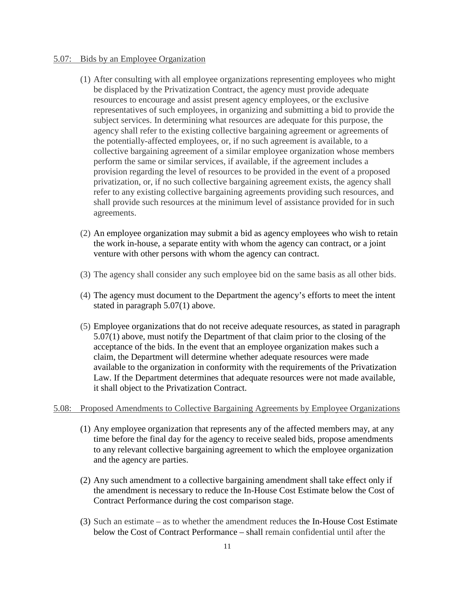### 5.07: Bids by an Employee Organization

- (1) After consulting with all employee organizations representing employees who might be displaced by the Privatization Contract, the agency must provide adequate resources to encourage and assist present agency employees, or the exclusive representatives of such employees, in organizing and submitting a bid to provide the subject services. In determining what resources are adequate for this purpose, the agency shall refer to the existing collective bargaining agreement or agreements of the potentially-affected employees, or, if no such agreement is available, to a collective bargaining agreement of a similar employee organization whose members perform the same or similar services, if available, if the agreement includes a provision regarding the level of resources to be provided in the event of a proposed privatization, or, if no such collective bargaining agreement exists, the agency shall refer to any existing collective bargaining agreements providing such resources, and shall provide such resources at the minimum level of assistance provided for in such agreements.
- (2) An employee organization may submit a bid as agency employees who wish to retain the work in-house, a separate entity with whom the agency can contract, or a joint venture with other persons with whom the agency can contract.
- (3) The agency shall consider any such employee bid on the same basis as all other bids.
- (4) The agency must document to the Department the agency's efforts to meet the intent stated in paragraph 5.07(1) above.
- (5) Employee organizations that do not receive adequate resources, as stated in paragraph 5.07(1) above, must notify the Department of that claim prior to the closing of the acceptance of the bids. In the event that an employee organization makes such a claim, the Department will determine whether adequate resources were made available to the organization in conformity with the requirements of the Privatization Law. If the Department determines that adequate resources were not made available, it shall object to the Privatization Contract.

## 5.08: Proposed Amendments to Collective Bargaining Agreements by Employee Organizations

- (1) Any employee organization that represents any of the affected members may, at any time before the final day for the agency to receive sealed bids, propose amendments to any relevant collective bargaining agreement to which the employee organization and the agency are parties.
- (2) Any such amendment to a collective bargaining amendment shall take effect only if the amendment is necessary to reduce the In-House Cost Estimate below the Cost of Contract Performance during the cost comparison stage.
- (3) Such an estimate as to whether the amendment reduces the In-House Cost Estimate below the Cost of Contract Performance – shall remain confidential until after the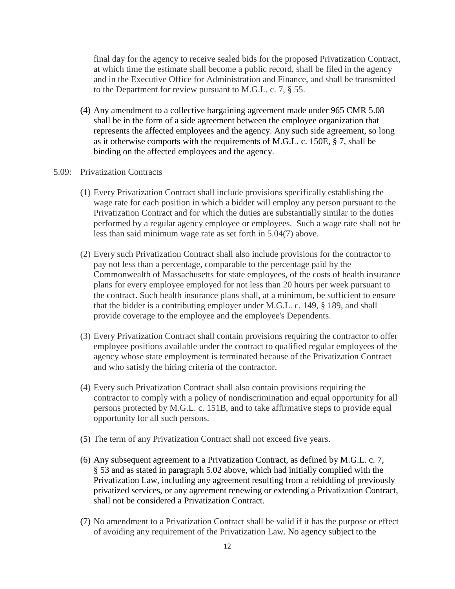final day for the agency to receive sealed bids for the proposed Privatization Contract, at which time the estimate shall become a public record, shall be filed in the agency and in the Executive Office for Administration and Finance, and shall be transmitted to the Department for review pursuant to M.G.L. c. 7, § 55.

(4) Any amendment to a collective bargaining agreement made under 965 CMR 5.08 shall be in the form of a side agreement between the employee organization that represents the affected employees and the agency. Any such side agreement, so long as it otherwise comports with the requirements of M.G.L. c. 150E, § 7, shall be binding on the affected employees and the agency.

#### 5.09: Privatization Contracts

- (1) Every Privatization Contract shall include provisions specifically establishing the wage rate for each position in which a bidder will employ any person pursuant to the Privatization Contract and for which the duties are substantially similar to the duties performed by a regular agency employee or employees. Such a wage rate shall not be less than said minimum wage rate as set forth in 5.04(7) above.
- (2) Every such Privatization Contract shall also include provisions for the contractor to pay not less than a percentage, comparable to the percentage paid by the Commonwealth of Massachusetts for state employees, of the costs of health insurance plans for every employee employed for not less than 20 hours per week pursuant to the contract. Such health insurance plans shall, at a minimum, be sufficient to ensure that the bidder is a contributing employer under M.G.L. c. 149, § 189, and shall provide coverage to the employee and the employee's Dependents.
- (3) Every Privatization Contract shall contain provisions requiring the contractor to offer employee positions available under the contract to qualified regular employees of the agency whose state employment is terminated because of the Privatization Contract and who satisfy the hiring criteria of the contractor.
- (4) Every such Privatization Contract shall also contain provisions requiring the contractor to comply with a policy of nondiscrimination and equal opportunity for all persons protected by M.G.L. c. 151B, and to take affirmative steps to provide equal opportunity for all such persons.
- (5) The term of any Privatization Contract shall not exceed five years.
- (6) Any subsequent agreement to a Privatization Contract, as defined by M.G.L. c. 7, § 53 and as stated in paragraph 5.02 above, which had initially complied with the Privatization Law, including any agreement resulting from a rebidding of previously privatized services, or any agreement renewing or extending a Privatization Contract, shall not be considered a Privatization Contract.
- (7) No amendment to a Privatization Contract shall be valid if it has the purpose or effect of avoiding any requirement of the Privatization Law. No agency subject to the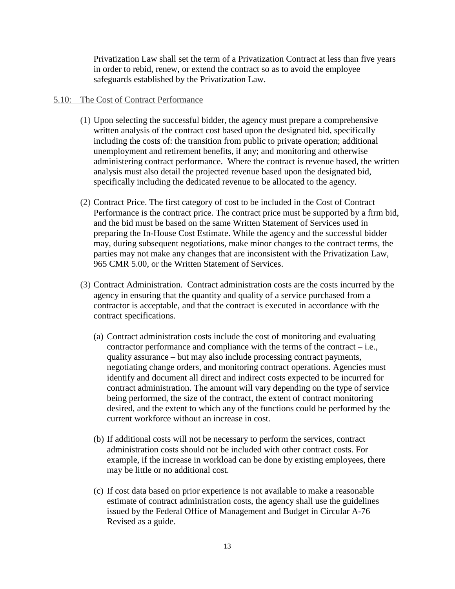Privatization Law shall set the term of a Privatization Contract at less than five years in order to rebid, renew, or extend the contract so as to avoid the employee safeguards established by the Privatization Law.

### 5.10: The Cost of Contract Performance

- (1) Upon selecting the successful bidder, the agency must prepare a comprehensive written analysis of the contract cost based upon the designated bid, specifically including the costs of: the transition from public to private operation; additional unemployment and retirement benefits, if any; and monitoring and otherwise administering contract performance. Where the contract is revenue based, the written analysis must also detail the projected revenue based upon the designated bid, specifically including the dedicated revenue to be allocated to the agency.
- (2) Contract Price. The first category of cost to be included in the Cost of Contract Performance is the contract price. The contract price must be supported by a firm bid, and the bid must be based on the same Written Statement of Services used in preparing the In-House Cost Estimate. While the agency and the successful bidder may, during subsequent negotiations, make minor changes to the contract terms, the parties may not make any changes that are inconsistent with the Privatization Law, 965 CMR 5.00, or the Written Statement of Services.
- (3) Contract Administration. Contract administration costs are the costs incurred by the agency in ensuring that the quantity and quality of a service purchased from a contractor is acceptable, and that the contract is executed in accordance with the contract specifications.
	- (a) Contract administration costs include the cost of monitoring and evaluating contractor performance and compliance with the terms of the contract – i.e., quality assurance – but may also include processing contract payments, negotiating change orders, and monitoring contract operations. Agencies must identify and document all direct and indirect costs expected to be incurred for contract administration. The amount will vary depending on the type of service being performed, the size of the contract, the extent of contract monitoring desired, and the extent to which any of the functions could be performed by the current workforce without an increase in cost.
	- (b) If additional costs will not be necessary to perform the services, contract administration costs should not be included with other contract costs. For example, if the increase in workload can be done by existing employees, there may be little or no additional cost.
	- (c) If cost data based on prior experience is not available to make a reasonable estimate of contract administration costs, the agency shall use the guidelines issued by the Federal Office of Management and Budget in Circular A-76 Revised as a guide.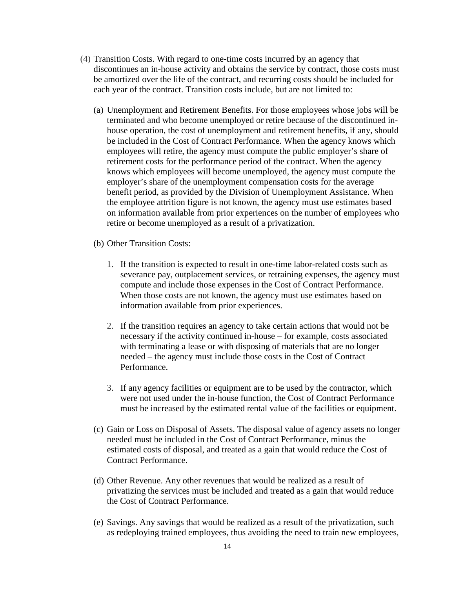- (4) Transition Costs. With regard to one-time costs incurred by an agency that discontinues an in-house activity and obtains the service by contract, those costs must be amortized over the life of the contract, and recurring costs should be included for each year of the contract. Transition costs include, but are not limited to:
	- (a) Unemployment and Retirement Benefits. For those employees whose jobs will be terminated and who become unemployed or retire because of the discontinued inhouse operation, the cost of unemployment and retirement benefits, if any, should be included in the Cost of Contract Performance. When the agency knows which employees will retire, the agency must compute the public employer's share of retirement costs for the performance period of the contract. When the agency knows which employees will become unemployed, the agency must compute the employer's share of the unemployment compensation costs for the average benefit period, as provided by the Division of Unemployment Assistance. When the employee attrition figure is not known, the agency must use estimates based on information available from prior experiences on the number of employees who retire or become unemployed as a result of a privatization.
	- (b) Other Transition Costs:
		- 1. If the transition is expected to result in one-time labor-related costs such as severance pay, outplacement services, or retraining expenses, the agency must compute and include those expenses in the Cost of Contract Performance. When those costs are not known, the agency must use estimates based on information available from prior experiences.
		- 2. If the transition requires an agency to take certain actions that would not be necessary if the activity continued in-house – for example, costs associated with terminating a lease or with disposing of materials that are no longer needed – the agency must include those costs in the Cost of Contract Performance.
		- 3. If any agency facilities or equipment are to be used by the contractor, which were not used under the in-house function, the Cost of Contract Performance must be increased by the estimated rental value of the facilities or equipment.
	- (c) Gain or Loss on Disposal of Assets. The disposal value of agency assets no longer needed must be included in the Cost of Contract Performance, minus the estimated costs of disposal, and treated as a gain that would reduce the Cost of Contract Performance.
	- (d) Other Revenue. Any other revenues that would be realized as a result of privatizing the services must be included and treated as a gain that would reduce the Cost of Contract Performance.
	- (e) Savings. Any savings that would be realized as a result of the privatization, such as redeploying trained employees, thus avoiding the need to train new employees,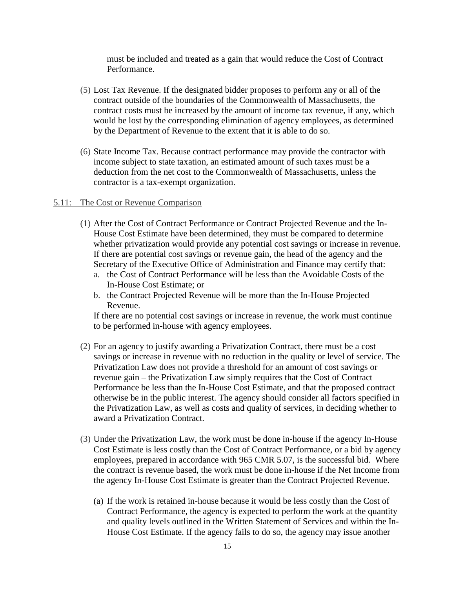must be included and treated as a gain that would reduce the Cost of Contract Performance.

- (5) Lost Tax Revenue. If the designated bidder proposes to perform any or all of the contract outside of the boundaries of the Commonwealth of Massachusetts, the contract costs must be increased by the amount of income tax revenue, if any, which would be lost by the corresponding elimination of agency employees, as determined by the Department of Revenue to the extent that it is able to do so.
- (6) State Income Tax. Because contract performance may provide the contractor with income subject to state taxation, an estimated amount of such taxes must be a deduction from the net cost to the Commonwealth of Massachusetts, unless the contractor is a tax-exempt organization.

#### 5.11: The Cost or Revenue Comparison

- (1) After the Cost of Contract Performance or Contract Projected Revenue and the In-House Cost Estimate have been determined, they must be compared to determine whether privatization would provide any potential cost savings or increase in revenue. If there are potential cost savings or revenue gain, the head of the agency and the Secretary of the Executive Office of Administration and Finance may certify that:
	- a. the Cost of Contract Performance will be less than the Avoidable Costs of the In-House Cost Estimate; or
	- b. the Contract Projected Revenue will be more than the In-House Projected Revenue.

If there are no potential cost savings or increase in revenue, the work must continue to be performed in-house with agency employees.

- (2) For an agency to justify awarding a Privatization Contract, there must be a cost savings or increase in revenue with no reduction in the quality or level of service. The Privatization Law does not provide a threshold for an amount of cost savings or revenue gain – the Privatization Law simply requires that the Cost of Contract Performance be less than the In-House Cost Estimate, and that the proposed contract otherwise be in the public interest. The agency should consider all factors specified in the Privatization Law, as well as costs and quality of services, in deciding whether to award a Privatization Contract.
- (3) Under the Privatization Law, the work must be done in-house if the agency In-House Cost Estimate is less costly than the Cost of Contract Performance, or a bid by agency employees, prepared in accordance with 965 CMR 5.07, is the successful bid. Where the contract is revenue based, the work must be done in-house if the Net Income from the agency In-House Cost Estimate is greater than the Contract Projected Revenue.
	- (a) If the work is retained in-house because it would be less costly than the Cost of Contract Performance, the agency is expected to perform the work at the quantity and quality levels outlined in the Written Statement of Services and within the In-House Cost Estimate. If the agency fails to do so, the agency may issue another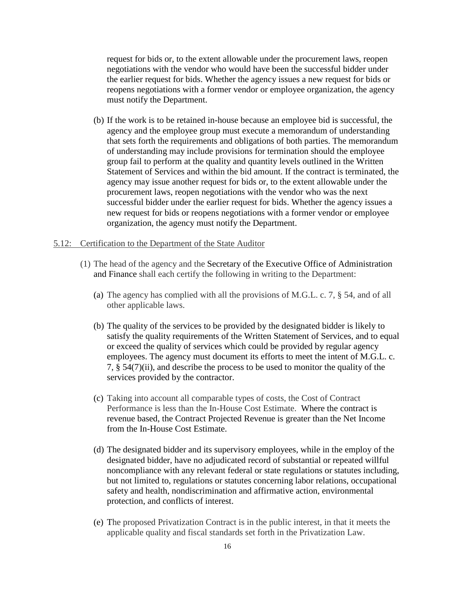request for bids or, to the extent allowable under the procurement laws, reopen negotiations with the vendor who would have been the successful bidder under the earlier request for bids. Whether the agency issues a new request for bids or reopens negotiations with a former vendor or employee organization, the agency must notify the Department.

(b) If the work is to be retained in-house because an employee bid is successful, the agency and the employee group must execute a memorandum of understanding that sets forth the requirements and obligations of both parties. The memorandum of understanding may include provisions for termination should the employee group fail to perform at the quality and quantity levels outlined in the Written Statement of Services and within the bid amount. If the contract is terminated, the agency may issue another request for bids or, to the extent allowable under the procurement laws, reopen negotiations with the vendor who was the next successful bidder under the earlier request for bids. Whether the agency issues a new request for bids or reopens negotiations with a former vendor or employee organization, the agency must notify the Department.

### 5.12: Certification to the Department of the State Auditor

- (1) The head of the agency and the Secretary of the Executive Office of Administration and Finance shall each certify the following in writing to the Department:
	- (a) The agency has complied with all the provisions of M.G.L. c. 7, § 54, and of all other applicable laws.
	- (b) The quality of the services to be provided by the designated bidder is likely to satisfy the quality requirements of the Written Statement of Services, and to equal or exceed the quality of services which could be provided by regular agency employees. The agency must document its efforts to meet the intent of M.G.L. c. 7, § 54(7)(ii), and describe the process to be used to monitor the quality of the services provided by the contractor.
	- (c) Taking into account all comparable types of costs, the Cost of Contract Performance is less than the In-House Cost Estimate. Where the contract is revenue based, the Contract Projected Revenue is greater than the Net Income from the In-House Cost Estimate.
	- (d) The designated bidder and its supervisory employees, while in the employ of the designated bidder, have no adjudicated record of substantial or repeated willful noncompliance with any relevant federal or state regulations or statutes including, but not limited to, regulations or statutes concerning labor relations, occupational safety and health, nondiscrimination and affirmative action, environmental protection, and conflicts of interest.
	- (e) The proposed Privatization Contract is in the public interest, in that it meets the applicable quality and fiscal standards set forth in the Privatization Law.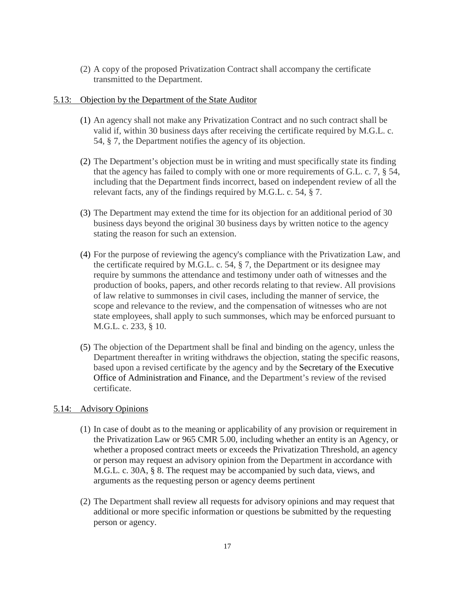(2) A copy of the proposed Privatization Contract shall accompany the certificate transmitted to the Department.

### 5.13: Objection by the Department of the State Auditor

- (1) An agency shall not make any Privatization Contract and no such contract shall be valid if, within 30 business days after receiving the certificate required by M.G.L. c. 54, § 7, the Department notifies the agency of its objection.
- (2) The Department's objection must be in writing and must specifically state its finding that the agency has failed to comply with one or more requirements of G.L. c. 7, § 54, including that the Department finds incorrect, based on independent review of all the relevant facts, any of the findings required by M.G.L. c. 54, § 7.
- (3) The Department may extend the time for its objection for an additional period of 30 business days beyond the original 30 business days by written notice to the agency stating the reason for such an extension.
- (4) For the purpose of reviewing the agency's compliance with the Privatization Law, and the certificate required by M.G.L. c. 54, § 7, the Department or its designee may require by summons the attendance and testimony under oath of witnesses and the production of books, papers, and other records relating to that review. All provisions of law relative to summonses in civil cases, including the manner of service, the scope and relevance to the review, and the compensation of witnesses who are not state employees, shall apply to such summonses, which may be enforced pursuant to M.G.L. c. 233, § 10.
- (5) The objection of the Department shall be final and binding on the agency, unless the Department thereafter in writing withdraws the objection, stating the specific reasons, based upon a revised certificate by the agency and by the Secretary of the Executive Office of Administration and Finance, and the Department's review of the revised certificate.

# 5.14: Advisory Opinions

- (1) In case of doubt as to the meaning or applicability of any provision or requirement in the Privatization Law or 965 CMR 5.00, including whether an entity is an Agency, or whether a proposed contract meets or exceeds the Privatization Threshold, an agency or person may request an advisory opinion from the Department in accordance with M.G.L. c. 30A, § 8. The request may be accompanied by such data, views, and arguments as the requesting person or agency deems pertinent
- (2) The Department shall review all requests for advisory opinions and may request that additional or more specific information or questions be submitted by the requesting person or agency.